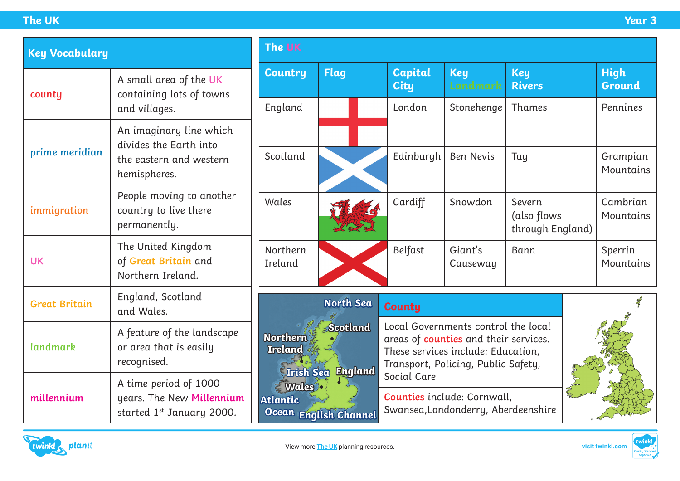| <b>Key Vocabulary</b> |                                                                                             | The UK                                                                                                                                          |                  |                                                                                                                                                                                                                                                       |                        |                                           |  |                              |
|-----------------------|---------------------------------------------------------------------------------------------|-------------------------------------------------------------------------------------------------------------------------------------------------|------------------|-------------------------------------------------------------------------------------------------------------------------------------------------------------------------------------------------------------------------------------------------------|------------------------|-------------------------------------------|--|------------------------------|
| county                | A small area of the UK<br>containing lots of towns                                          | <b>Country</b>                                                                                                                                  | <b>Flag</b>      | <b>Capital</b><br><b>City</b>                                                                                                                                                                                                                         | <b>Key</b><br>Landmark | <b>Key</b><br><b>Rivers</b>               |  | <b>High</b><br><b>Ground</b> |
|                       | and villages.                                                                               | England                                                                                                                                         |                  | London                                                                                                                                                                                                                                                | Stonehenge             | Thames                                    |  | Pennines                     |
|                       | An imaginary line which<br>divides the Earth into                                           |                                                                                                                                                 |                  |                                                                                                                                                                                                                                                       |                        |                                           |  |                              |
| prime meridian        | the eastern and western<br>hemispheres.                                                     | Scotland                                                                                                                                        |                  | Edinburgh                                                                                                                                                                                                                                             | <b>Ben Nevis</b>       | Tay                                       |  | Grampian<br>Mountains        |
| immigration           | People moving to another<br>country to live there<br>permanently.                           | Wales                                                                                                                                           |                  | Cardiff                                                                                                                                                                                                                                               | Snowdon                | Severn<br>(also flows<br>through England) |  | Cambrian<br>Mountains        |
| <b>UK</b>             | The United Kingdom<br>of Great Britain and<br>Northern Ireland.                             | Northern<br>Ireland                                                                                                                             |                  | Belfast                                                                                                                                                                                                                                               | Giant's<br>Causeway    | Bann                                      |  | Sperrin<br>Mountains         |
| <b>Great Britain</b>  | England, Scotland<br>and Wales.                                                             |                                                                                                                                                 | <b>North Sea</b> | <b>County</b>                                                                                                                                                                                                                                         |                        |                                           |  |                              |
| landmark              | A feature of the landscape<br>or area that is easily<br>recognised.                         | <b>Scotland</b><br><b>Northern</b><br>Ireland<br><b>England</b><br><b>Irish Sea</b><br><b>Wales</b><br><b>Atlantic</b><br>Ocean English Channel |                  | Local Governments control the local<br>areas of <b>counties</b> and their services.<br>These services include: Education,<br>Transport, Policing, Public Safety,<br>Social Care<br>Counties include: Cornwall,<br>Swansea, Londonderry, Aberdeenshire |                        |                                           |  |                              |
| millennium            | A time period of 1000<br>years. The New Millennium<br>started 1 <sup>st</sup> January 2000. |                                                                                                                                                 |                  |                                                                                                                                                                                                                                                       |                        |                                           |  |                              |